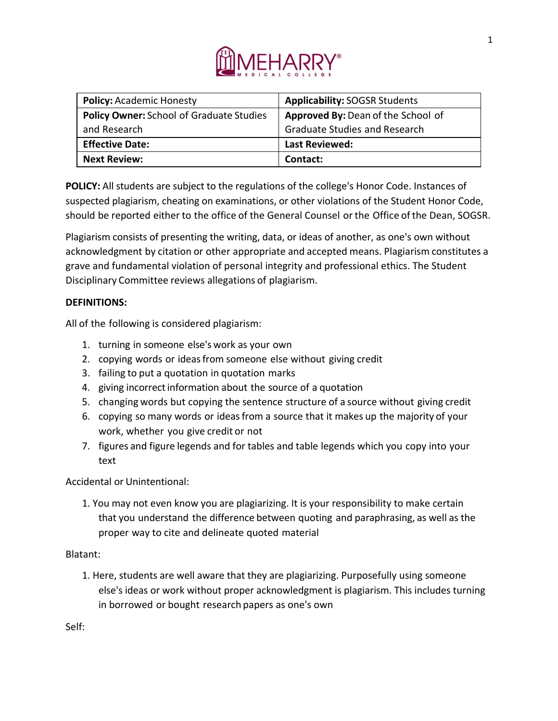

| <b>Policy: Academic Honesty</b>                 | <b>Applicability: SOGSR Students</b> |
|-------------------------------------------------|--------------------------------------|
| <b>Policy Owner: School of Graduate Studies</b> | Approved By: Dean of the School of   |
| and Research                                    | <b>Graduate Studies and Research</b> |
| <b>Effective Date:</b>                          | <b>Last Reviewed:</b>                |
| <b>Next Review:</b>                             | Contact:                             |

**POLICY:** All students are subject to the regulations of the college's Honor Code. Instances of suspected plagiarism, cheating on examinations, or other violations of the Student Honor Code, should be reported either to the office of the General Counsel or the Office of the Dean, SOGSR.

Plagiarism consists of presenting the writing, data, or ideas of another, as one's own without acknowledgment by citation or other appropriate and accepted means. Plagiarism constitutes a grave and fundamental violation of personal integrity and professional ethics. The Student Disciplinary Committee reviews allegations of plagiarism.

## **DEFINITIONS:**

All of the following is considered plagiarism:

- 1. turning in someone else's work as your own
- 2. copying words or ideasfrom someone else without giving credit
- 3. failing to put a quotation in quotation marks
- 4. giving incorrect information about the source of a quotation
- 5. changing words but copying the sentence structure of a source without giving credit
- 6. copying so many words or ideasfrom a source that it makes up the majority of your work, whether you give credit or not
- 7. figures and figure legends and for tables and table legends which you copy into your text

Accidental or Unintentional:

1. You may not even know you are plagiarizing. It is your responsibility to make certain that you understand the difference between quoting and paraphrasing, as well as the proper way to cite and delineate quoted material

## Blatant:

1. Here, students are well aware that they are plagiarizing. Purposefully using someone else's ideas or work without proper acknowledgment is plagiarism. This includes turning in borrowed or bought research papers as one's own

Self: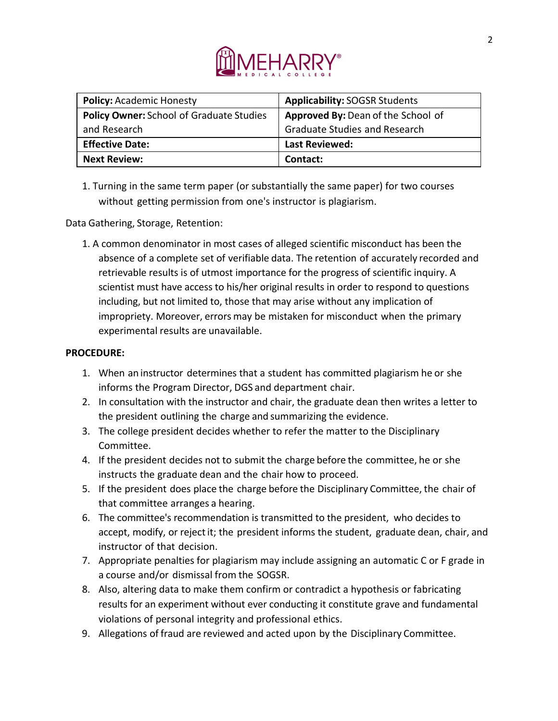

| <b>Policy: Academic Honesty</b>                 | <b>Applicability: SOGSR Students</b> |
|-------------------------------------------------|--------------------------------------|
| <b>Policy Owner: School of Graduate Studies</b> | Approved By: Dean of the School of   |
| and Research                                    | <b>Graduate Studies and Research</b> |
| <b>Effective Date:</b>                          | <b>Last Reviewed:</b>                |
| <b>Next Review:</b>                             | Contact:                             |

1. Turning in the same term paper (or substantially the same paper) for two courses without getting permission from one's instructor is plagiarism.

Data Gathering, Storage, Retention:

1. A common denominator in most cases of alleged scientific misconduct has been the absence of a complete set of verifiable data. The retention of accurately recorded and retrievable results is of utmost importance for the progress of scientific inquiry. A scientist must have access to his/her original results in order to respond to questions including, but not limited to, those that may arise without any implication of impropriety. Moreover, errors may be mistaken for misconduct when the primary experimental results are unavailable.

## **PROCEDURE:**

- 1. When an instructor determines that a student has committed plagiarism he or she informs the Program Director, DGS and department chair.
- 2. In consultation with the instructor and chair, the graduate dean then writes a letter to the president outlining the charge and summarizing the evidence.
- 3. The college president decides whether to refer the matter to the Disciplinary Committee.
- 4. If the president decides not to submit the charge before the committee, he or she instructs the graduate dean and the chair how to proceed.
- 5. If the president does place the charge before the Disciplinary Committee, the chair of that committee arranges a hearing.
- 6. The committee's recommendation is transmitted to the president, who decides to accept, modify, or reject it; the president informs the student, graduate dean, chair, and instructor of that decision.
- 7. Appropriate penalties for plagiarism may include assigning an automatic C or F grade in a course and/or dismissal from the SOGSR.
- 8. Also, altering data to make them confirm or contradict a hypothesis or fabricating results for an experiment without ever conducting it constitute grave and fundamental violations of personal integrity and professional ethics.
- 9. Allegations of fraud are reviewed and acted upon by the Disciplinary Committee.